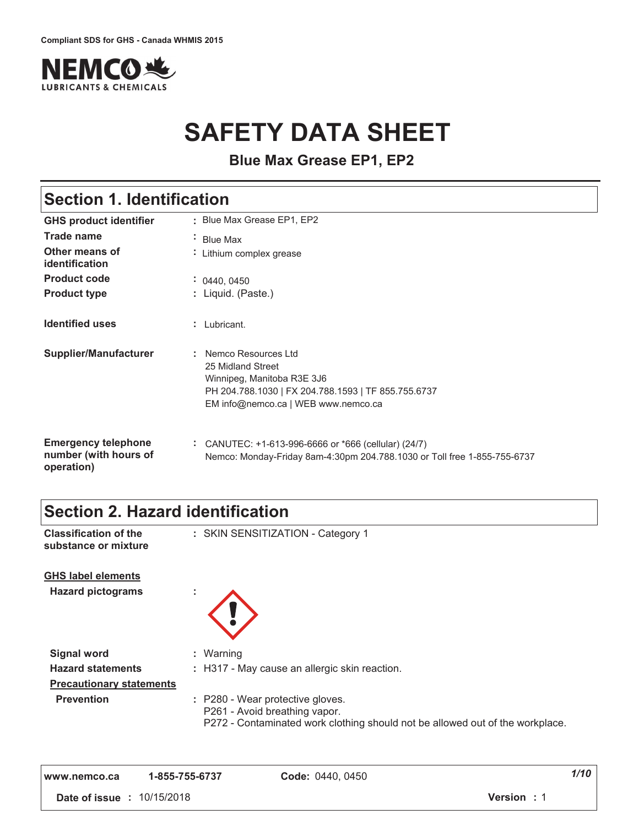

# **SAFETY DATA SHEET**

**Blue Max Grease EP1, EP2**

## **Section 1. Identification**

| <b>GHS product identifier</b>                                     | : Blue Max Grease EP1, EP2                                                                                                                                             |
|-------------------------------------------------------------------|------------------------------------------------------------------------------------------------------------------------------------------------------------------------|
| <b>Trade name</b>                                                 | · Blue Max                                                                                                                                                             |
| Other means of<br>identification                                  | Lithium complex grease                                                                                                                                                 |
| <b>Product code</b>                                               | $\div$ 0440, 0450                                                                                                                                                      |
| <b>Product type</b>                                               | : Liquid. (Paste.)                                                                                                                                                     |
| <b>Identified uses</b>                                            | Lubricant.                                                                                                                                                             |
| Supplier/Manufacturer                                             | : Nemco Resources Ltd<br>25 Midland Street<br>Winnipeg, Manitoba R3E 3J6<br>PH 204.788.1030   FX 204.788.1593   TF 855.755.6737<br>EM info@nemco.ca   WEB www.nemco.ca |
| <b>Emergency telephone</b><br>number (with hours of<br>operation) | ÷.<br>CANUTEC: +1-613-996-6666 or *666 (cellular) (24/7)<br>Nemco: Monday-Friday 8am-4:30pm 204.788.1030 or Toll free 1-855-755-6737                                   |

## **Section 2. Hazard identification**

| <b>Classification of the</b><br>substance or mixture  | : SKIN SENSITIZATION - Category 1                                                                                                                  |
|-------------------------------------------------------|----------------------------------------------------------------------------------------------------------------------------------------------------|
| <b>GHS label elements</b><br><b>Hazard pictograms</b> | ٠                                                                                                                                                  |
| <b>Signal word</b>                                    | : Warning                                                                                                                                          |
| <b>Hazard statements</b>                              | : H317 - May cause an allergic skin reaction.                                                                                                      |
| <b>Precautionary statements</b>                       |                                                                                                                                                    |
| <b>Prevention</b>                                     | : P280 - Wear protective gloves.<br>P261 - Avoid breathing vapor.<br>P272 - Contaminated work clothing should not be allowed out of the workplace. |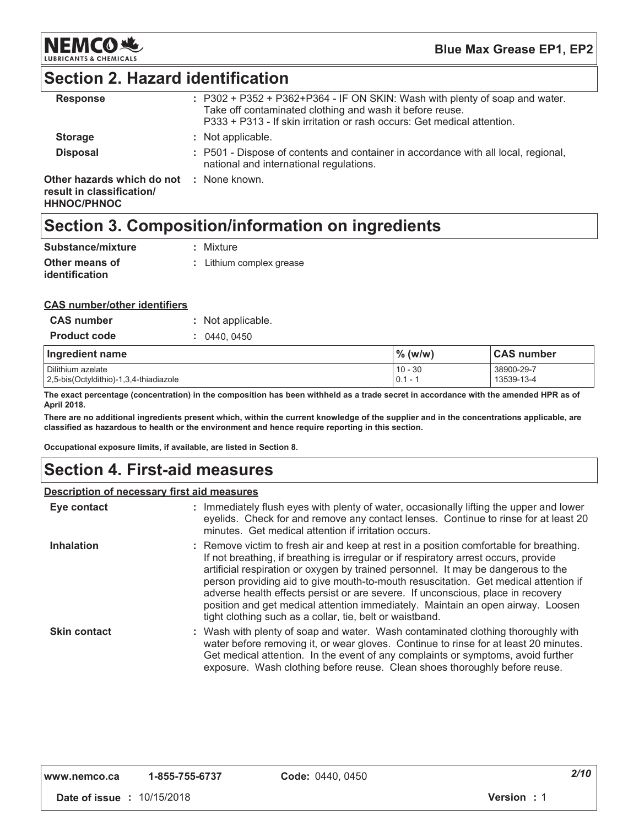

## **Section 2. Hazard identification**

| <b>Response</b>                                                                             | $: P302 + P352 + P362 + P364 - IF ON SKIN: Wash with plenty of soap and water.$<br>Take off contaminated clothing and wash it before reuse.<br>P333 + P313 - If skin irritation or rash occurs: Get medical attention. |
|---------------------------------------------------------------------------------------------|------------------------------------------------------------------------------------------------------------------------------------------------------------------------------------------------------------------------|
| <b>Storage</b>                                                                              | : Not applicable.                                                                                                                                                                                                      |
| <b>Disposal</b>                                                                             | : P501 - Dispose of contents and container in accordance with all local, regional,<br>national and international regulations.                                                                                          |
| Other hazards which do not : None known.<br>result in classification/<br><b>HHNOC/PHNOC</b> |                                                                                                                                                                                                                        |

## Section 3. Composition/information on ingredients

| Substance/mixture     | : Mixture                |
|-----------------------|--------------------------|
| Other means of        | : Lithium complex grease |
| <i>identification</i> |                          |

### **CAS number/other identifiers**

| <b>CAS number</b>                                           | : Not applicable. |                        |                          |
|-------------------------------------------------------------|-------------------|------------------------|--------------------------|
| <b>Product code</b>                                         | 0440.0450         |                        |                          |
| Ingredient name                                             |                   | $\%$ (w/w)             | <b>CAS number</b>        |
| Dilithium azelate<br>2,5-bis(Octyldithio)-1,3,4-thiadiazole |                   | $10 - 30$<br>$0.1 - 1$ | 38900-29-7<br>13539-13-4 |

The exact percentage (concentration) in the composition has been withheld as a trade secret in accordance with the amended HPR as of April 2018.

There are no additional ingredients present which, within the current knowledge of the supplier and in the concentrations applicable, are classified as hazardous to health or the environment and hence require reporting in this section.

Occupational exposure limits, if available, are listed in Section 8.

# **Section 4. First-aid measures**

### **Description of necessary first aid measures**

| Eye contact         | : Immediately flush eyes with plenty of water, occasionally lifting the upper and lower<br>eyelids. Check for and remove any contact lenses. Continue to rinse for at least 20<br>minutes. Get medical attention if irritation occurs.                                                                                                                                                                                                                                                                                                                                                       |
|---------------------|----------------------------------------------------------------------------------------------------------------------------------------------------------------------------------------------------------------------------------------------------------------------------------------------------------------------------------------------------------------------------------------------------------------------------------------------------------------------------------------------------------------------------------------------------------------------------------------------|
| <b>Inhalation</b>   | : Remove victim to fresh air and keep at rest in a position comfortable for breathing.<br>If not breathing, if breathing is irregular or if respiratory arrest occurs, provide<br>artificial respiration or oxygen by trained personnel. It may be dangerous to the<br>person providing aid to give mouth-to-mouth resuscitation. Get medical attention if<br>adverse health effects persist or are severe. If unconscious, place in recovery<br>position and get medical attention immediately. Maintain an open airway. Loosen<br>tight clothing such as a collar, tie, belt or waistband. |
| <b>Skin contact</b> | : Wash with plenty of soap and water. Wash contaminated clothing thoroughly with<br>water before removing it, or wear gloves. Continue to rinse for at least 20 minutes.<br>Get medical attention. In the event of any complaints or symptoms, avoid further<br>exposure. Wash clothing before reuse. Clean shoes thoroughly before reuse.                                                                                                                                                                                                                                                   |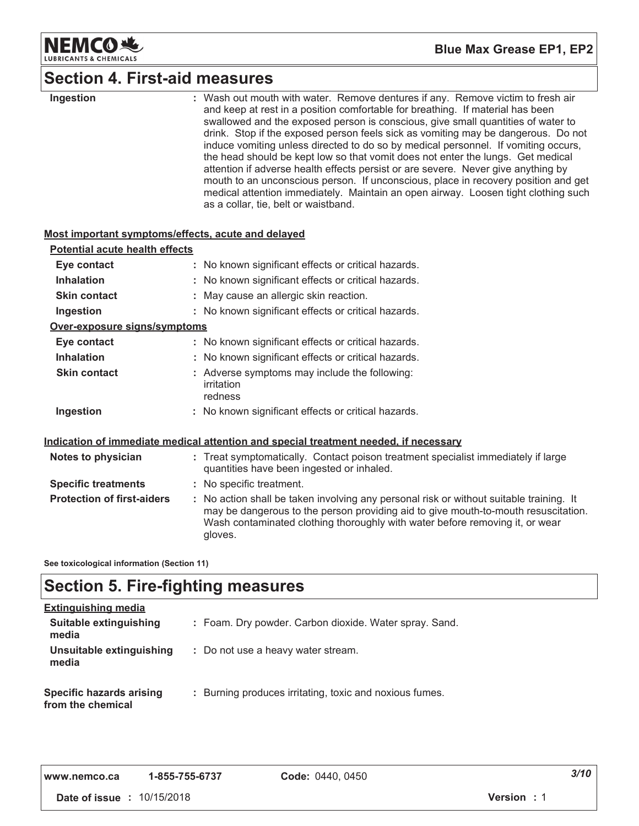

# Section 4. First-aid measures

| Ingestion                                          | : Wash out mouth with water. Remove dentures if any. Remove victim to fresh air<br>and keep at rest in a position comfortable for breathing. If material has been<br>swallowed and the exposed person is conscious, give small quantities of water to<br>drink. Stop if the exposed person feels sick as vomiting may be dangerous. Do not<br>induce vomiting unless directed to do so by medical personnel. If vomiting occurs,<br>the head should be kept low so that vomit does not enter the lungs. Get medical<br>attention if adverse health effects persist or are severe. Never give anything by<br>mouth to an unconscious person. If unconscious, place in recovery position and get<br>medical attention immediately. Maintain an open airway. Loosen tight clothing such<br>as a collar, tie, belt or waistband. |
|----------------------------------------------------|------------------------------------------------------------------------------------------------------------------------------------------------------------------------------------------------------------------------------------------------------------------------------------------------------------------------------------------------------------------------------------------------------------------------------------------------------------------------------------------------------------------------------------------------------------------------------------------------------------------------------------------------------------------------------------------------------------------------------------------------------------------------------------------------------------------------------|
| Most important symptoms/effects, acute and delayed |                                                                                                                                                                                                                                                                                                                                                                                                                                                                                                                                                                                                                                                                                                                                                                                                                              |
| <b>Potential acute health effects</b>              |                                                                                                                                                                                                                                                                                                                                                                                                                                                                                                                                                                                                                                                                                                                                                                                                                              |
| Eye contact                                        | : No known significant effects or critical hazards.                                                                                                                                                                                                                                                                                                                                                                                                                                                                                                                                                                                                                                                                                                                                                                          |
| <b>Inhalation</b>                                  | : No known significant effects or critical hazards.                                                                                                                                                                                                                                                                                                                                                                                                                                                                                                                                                                                                                                                                                                                                                                          |
| <b>Skin contact</b>                                | : May cause an allergic skin reaction.                                                                                                                                                                                                                                                                                                                                                                                                                                                                                                                                                                                                                                                                                                                                                                                       |
| Ingestion                                          | : No known significant effects or critical hazards.                                                                                                                                                                                                                                                                                                                                                                                                                                                                                                                                                                                                                                                                                                                                                                          |
| Over-exposure signs/symptoms                       |                                                                                                                                                                                                                                                                                                                                                                                                                                                                                                                                                                                                                                                                                                                                                                                                                              |
| Eye contact                                        | : No known significant effects or critical hazards.                                                                                                                                                                                                                                                                                                                                                                                                                                                                                                                                                                                                                                                                                                                                                                          |
| <b>Inhalation</b>                                  | : No known significant effects or critical hazards.                                                                                                                                                                                                                                                                                                                                                                                                                                                                                                                                                                                                                                                                                                                                                                          |
| <b>Skin contact</b>                                | : Adverse symptoms may include the following:<br>irritation<br>redness                                                                                                                                                                                                                                                                                                                                                                                                                                                                                                                                                                                                                                                                                                                                                       |
| Ingestion                                          | : No known significant effects or critical hazards.                                                                                                                                                                                                                                                                                                                                                                                                                                                                                                                                                                                                                                                                                                                                                                          |
|                                                    | Indication of immediate medical attention and special treatment needed, if necessary                                                                                                                                                                                                                                                                                                                                                                                                                                                                                                                                                                                                                                                                                                                                         |
| Notes to physician                                 | : Treat symptomatically. Contact poison treatment specialist immediately if large<br>quantities have been ingested or inhaled.                                                                                                                                                                                                                                                                                                                                                                                                                                                                                                                                                                                                                                                                                               |
| <b>Specific treatments</b>                         | : No specific treatment.                                                                                                                                                                                                                                                                                                                                                                                                                                                                                                                                                                                                                                                                                                                                                                                                     |
| <b>Protection of first-aiders</b>                  | : No action shall be taken involving any personal risk or without suitable training. It<br>may be dangerous to the person providing aid to give mouth-to-mouth resuscitation.<br>Wash contaminated clothing thoroughly with water before removing it, or wear<br>gloves.                                                                                                                                                                                                                                                                                                                                                                                                                                                                                                                                                     |
|                                                    |                                                                                                                                                                                                                                                                                                                                                                                                                                                                                                                                                                                                                                                                                                                                                                                                                              |

See toxicological information (Section 11)

# **Section 5. Fire-fighting measures**

| <b>Extinguishing media</b>                           |                                                         |
|------------------------------------------------------|---------------------------------------------------------|
| Suitable extinguishing<br>media                      | : Foam. Dry powder. Carbon dioxide. Water spray. Sand.  |
| Unsuitable extinguishing<br>media                    | : Do not use a heavy water stream.                      |
| <b>Specific hazards arising</b><br>from the chemical | : Burning produces irritating, toxic and noxious fumes. |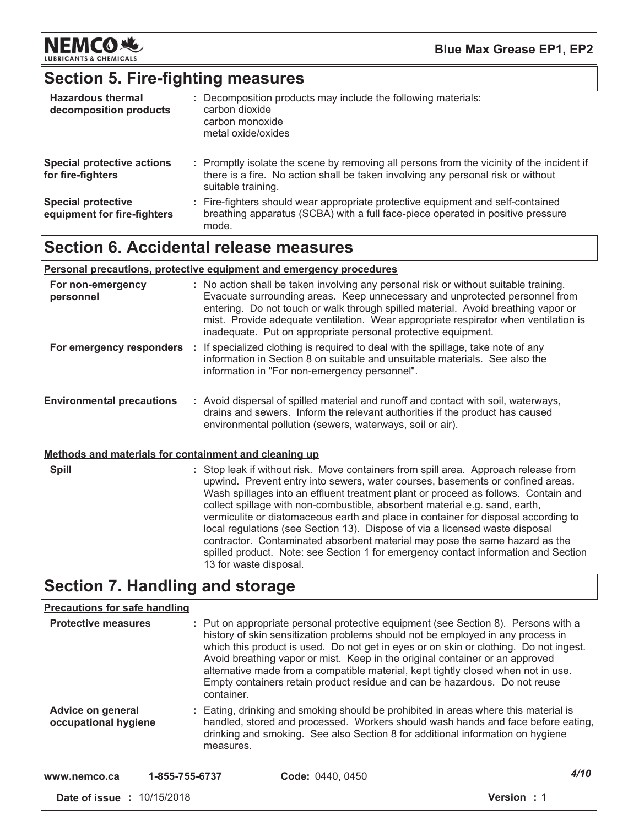

# Section 5. Fire-fighting measures

| <b>Hazardous thermal</b><br>decomposition products       | : Decomposition products may include the following materials:<br>carbon dioxide<br>carbon monoxide<br>metal oxide/oxides                                                                            |
|----------------------------------------------------------|-----------------------------------------------------------------------------------------------------------------------------------------------------------------------------------------------------|
| <b>Special protective actions</b><br>for fire-fighters   | : Promptly isolate the scene by removing all persons from the vicinity of the incident if<br>there is a fire. No action shall be taken involving any personal risk or without<br>suitable training. |
| <b>Special protective</b><br>equipment for fire-fighters | : Fire-fighters should wear appropriate protective equipment and self-contained<br>breathing apparatus (SCBA) with a full face-piece operated in positive pressure<br>mode.                         |

# **Section 6. Accidental release measures**

### Personal precautions, protective equipment and emergency procedures

| For non-emergency<br>personnel                        | : No action shall be taken involving any personal risk or without suitable training.<br>Evacuate surrounding areas. Keep unnecessary and unprotected personnel from<br>entering. Do not touch or walk through spilled material. Avoid breathing vapor or<br>mist. Provide adequate ventilation. Wear appropriate respirator when ventilation is<br>inadequate. Put on appropriate personal protective equipment.                                                                                                                                                                                                                                                                                                |
|-------------------------------------------------------|-----------------------------------------------------------------------------------------------------------------------------------------------------------------------------------------------------------------------------------------------------------------------------------------------------------------------------------------------------------------------------------------------------------------------------------------------------------------------------------------------------------------------------------------------------------------------------------------------------------------------------------------------------------------------------------------------------------------|
| For emergency responders :                            | If specialized clothing is required to deal with the spillage, take note of any<br>information in Section 8 on suitable and unsuitable materials. See also the<br>information in "For non-emergency personnel".                                                                                                                                                                                                                                                                                                                                                                                                                                                                                                 |
| <b>Environmental precautions</b>                      | : Avoid dispersal of spilled material and runoff and contact with soil, waterways,<br>drains and sewers. Inform the relevant authorities if the product has caused<br>environmental pollution (sewers, waterways, soil or air).                                                                                                                                                                                                                                                                                                                                                                                                                                                                                 |
| Methods and materials for containment and cleaning up |                                                                                                                                                                                                                                                                                                                                                                                                                                                                                                                                                                                                                                                                                                                 |
| <b>Spill</b>                                          | : Stop leak if without risk. Move containers from spill area. Approach release from<br>upwind. Prevent entry into sewers, water courses, basements or confined areas.<br>Wash spillages into an effluent treatment plant or proceed as follows. Contain and<br>collect spillage with non-combustible, absorbent material e.g. sand, earth,<br>vermiculite or diatomaceous earth and place in container for disposal according to<br>local regulations (see Section 13). Dispose of via a licensed waste disposal<br>contractor. Contaminated absorbent material may pose the same hazard as the<br>spilled product. Note: see Section 1 for emergency contact information and Section<br>13 for waste disposal. |

# **Section 7. Handling and storage**

| <b>Precautions for safe handling</b>      |            |                                                                                                                                                                                                                                                                                                                                                                                                                                                                                                                   |                   |
|-------------------------------------------|------------|-------------------------------------------------------------------------------------------------------------------------------------------------------------------------------------------------------------------------------------------------------------------------------------------------------------------------------------------------------------------------------------------------------------------------------------------------------------------------------------------------------------------|-------------------|
| <b>Protective measures</b>                | container. | : Put on appropriate personal protective equipment (see Section 8). Persons with a<br>history of skin sensitization problems should not be employed in any process in<br>which this product is used. Do not get in eyes or on skin or clothing. Do not ingest.<br>Avoid breathing vapor or mist. Keep in the original container or an approved<br>alternative made from a compatible material, kept tightly closed when not in use.<br>Empty containers retain product residue and can be hazardous. Do not reuse |                   |
| Advice on general<br>occupational hygiene | measures.  | : Eating, drinking and smoking should be prohibited in areas where this material is<br>handled, stored and processed. Workers should wash hands and face before eating,<br>drinking and smoking. See also Section 8 for additional information on hygiene                                                                                                                                                                                                                                                         |                   |
| 1-855-755-6737<br>www.nemco.ca            |            | Code: 0440, 0450                                                                                                                                                                                                                                                                                                                                                                                                                                                                                                  | 4/10              |
| <b>Date of issue : 10/15/2018</b>         |            |                                                                                                                                                                                                                                                                                                                                                                                                                                                                                                                   | <b>Version: 1</b> |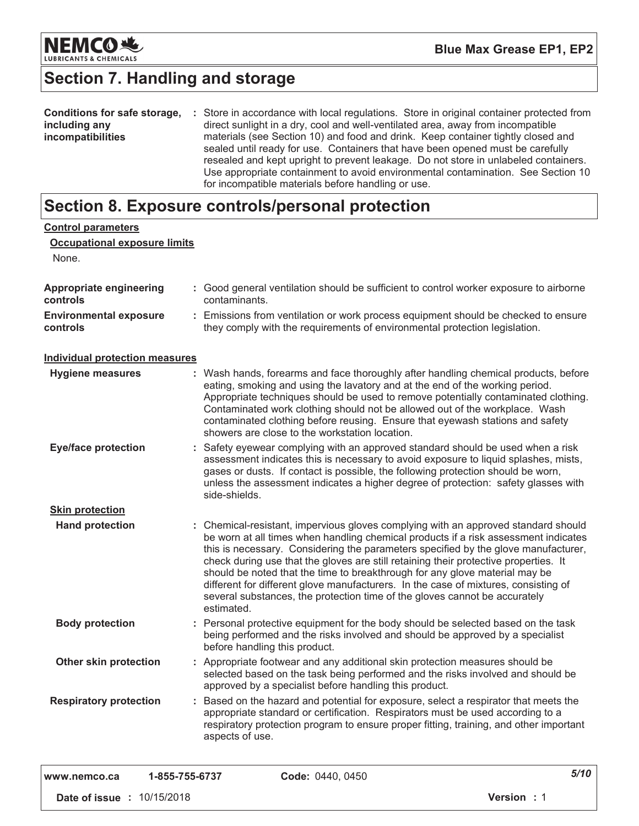

# **Section 7. Handling and storage**

| <b>Conditions for safe storage,</b> | : Store in accordance with local regulations. Store in original container protected from |
|-------------------------------------|------------------------------------------------------------------------------------------|
| including any                       | direct sunlight in a dry, cool and well-ventilated area, away from incompatible          |
| <i>incompatibilities</i>            | materials (see Section 10) and food and drink. Keep container tightly closed and         |
|                                     | sealed until ready for use. Containers that have been opened must be carefully           |
|                                     | resealed and kept upright to prevent leakage. Do not store in unlabeled containers.      |
|                                     | Use appropriate containment to avoid environmental contamination. See Section 10         |
|                                     | for incompatible materials before handling or use.                                       |

# Section 8. Exposure controls/personal protection

| <b>Control parameters</b><br><b>Occupational exposure limits</b> |                                                                                                                                                                                                                                                                                                                                                                                                                                                                                                                                                                                                                           |
|------------------------------------------------------------------|---------------------------------------------------------------------------------------------------------------------------------------------------------------------------------------------------------------------------------------------------------------------------------------------------------------------------------------------------------------------------------------------------------------------------------------------------------------------------------------------------------------------------------------------------------------------------------------------------------------------------|
| None.                                                            |                                                                                                                                                                                                                                                                                                                                                                                                                                                                                                                                                                                                                           |
| Appropriate engineering<br>controls                              | : Good general ventilation should be sufficient to control worker exposure to airborne<br>contaminants.                                                                                                                                                                                                                                                                                                                                                                                                                                                                                                                   |
| <b>Environmental exposure</b><br>controls                        | : Emissions from ventilation or work process equipment should be checked to ensure<br>they comply with the requirements of environmental protection legislation.                                                                                                                                                                                                                                                                                                                                                                                                                                                          |
| <b>Individual protection measures</b>                            |                                                                                                                                                                                                                                                                                                                                                                                                                                                                                                                                                                                                                           |
| <b>Hygiene measures</b>                                          | : Wash hands, forearms and face thoroughly after handling chemical products, before<br>eating, smoking and using the lavatory and at the end of the working period.<br>Appropriate techniques should be used to remove potentially contaminated clothing.<br>Contaminated work clothing should not be allowed out of the workplace. Wash<br>contaminated clothing before reusing. Ensure that eyewash stations and safety<br>showers are close to the workstation location.                                                                                                                                               |
| <b>Eye/face protection</b>                                       | : Safety eyewear complying with an approved standard should be used when a risk<br>assessment indicates this is necessary to avoid exposure to liquid splashes, mists,<br>gases or dusts. If contact is possible, the following protection should be worn,<br>unless the assessment indicates a higher degree of protection: safety glasses with<br>side-shields.                                                                                                                                                                                                                                                         |
| <b>Skin protection</b>                                           |                                                                                                                                                                                                                                                                                                                                                                                                                                                                                                                                                                                                                           |
| <b>Hand protection</b>                                           | : Chemical-resistant, impervious gloves complying with an approved standard should<br>be worn at all times when handling chemical products if a risk assessment indicates<br>this is necessary. Considering the parameters specified by the glove manufacturer,<br>check during use that the gloves are still retaining their protective properties. It<br>should be noted that the time to breakthrough for any glove material may be<br>different for different glove manufacturers. In the case of mixtures, consisting of<br>several substances, the protection time of the gloves cannot be accurately<br>estimated. |
| <b>Body protection</b>                                           | : Personal protective equipment for the body should be selected based on the task<br>being performed and the risks involved and should be approved by a specialist<br>before handling this product.                                                                                                                                                                                                                                                                                                                                                                                                                       |
| Other skin protection                                            | : Appropriate footwear and any additional skin protection measures should be<br>selected based on the task being performed and the risks involved and should be<br>approved by a specialist before handling this product.                                                                                                                                                                                                                                                                                                                                                                                                 |
| <b>Respiratory protection</b>                                    | : Based on the hazard and potential for exposure, select a respirator that meets the<br>appropriate standard or certification. Respirators must be used according to a<br>respiratory protection program to ensure proper fitting, training, and other important<br>aspects of use.                                                                                                                                                                                                                                                                                                                                       |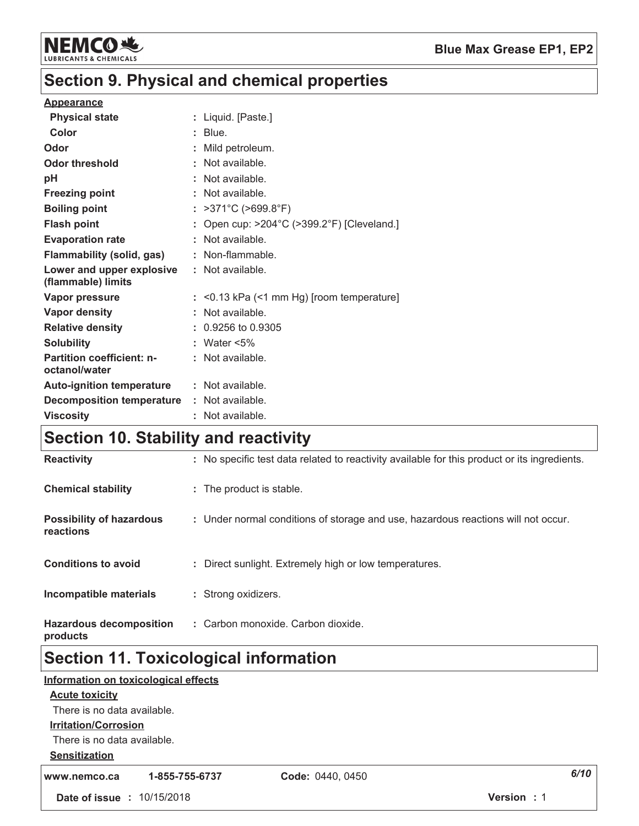

# Section 9. Physical and chemical properties

### **Appearance**

| <b>Physical state</b>                             | Liquid. [Paste.]                         |
|---------------------------------------------------|------------------------------------------|
| Color                                             | Blue.                                    |
| Odor                                              | Mild petroleum.                          |
| Odor threshold                                    | Not available.                           |
| рH                                                | Not available.                           |
| <b>Freezing point</b>                             | Not available.                           |
| <b>Boiling point</b>                              | $>371^{\circ}$ C ( $>699.8^{\circ}$ F)   |
| <b>Flash point</b>                                | Open cup: >204°C (>399.2°F) [Cleveland.] |
| <b>Evaporation rate</b>                           | Not available.                           |
| Flammability (solid, gas)                         | : Non-flammable.                         |
| Lower and upper explosive<br>(flammable) limits   | : Not available.                         |
| Vapor pressure                                    | <0.13 kPa (<1 mm Hg) [room temperature]  |
| <b>Vapor density</b>                              | Not available.                           |
| <b>Relative density</b>                           | $: 0.9256$ to 0.9305                     |
| <b>Solubility</b>                                 | : Water $<5\%$                           |
| <b>Partition coefficient: n-</b><br>octanol/water | : Not available.                         |
| <b>Auto-ignition temperature</b>                  | : Not available.                         |
| <b>Decomposition temperature</b>                  | : Not available.                         |
| <b>Viscosity</b>                                  | Not available.                           |

# Section 10. Stability and reactivity

| <b>Reactivity</b>                            | : No specific test data related to reactivity available for this product or its ingredients. |
|----------------------------------------------|----------------------------------------------------------------------------------------------|
| <b>Chemical stability</b>                    | : The product is stable.                                                                     |
| <b>Possibility of hazardous</b><br>reactions | : Under normal conditions of storage and use, hazardous reactions will not occur.            |
| <b>Conditions to avoid</b>                   | : Direct sunlight. Extremely high or low temperatures.                                       |
| <b>Incompatible materials</b>                | : Strong oxidizers.                                                                          |
| <b>Hazardous decomposition</b><br>products   | : Carbon monoxide. Carbon dioxide.                                                           |

# Section 11. Toxicological information

|                                   | Information on toxicological effects |                  |               |
|-----------------------------------|--------------------------------------|------------------|---------------|
| <b>Acute toxicity</b>             |                                      |                  |               |
| There is no data available.       |                                      |                  |               |
| <b>Irritation/Corrosion</b>       |                                      |                  |               |
| There is no data available.       |                                      |                  |               |
| <b>Sensitization</b>              |                                      |                  |               |
| www.nemco.ca                      | 1-855-755-6737                       | Code: 0440, 0450 | 6/10          |
| <b>Date of issue : 10/15/2018</b> |                                      |                  | Version<br>:1 |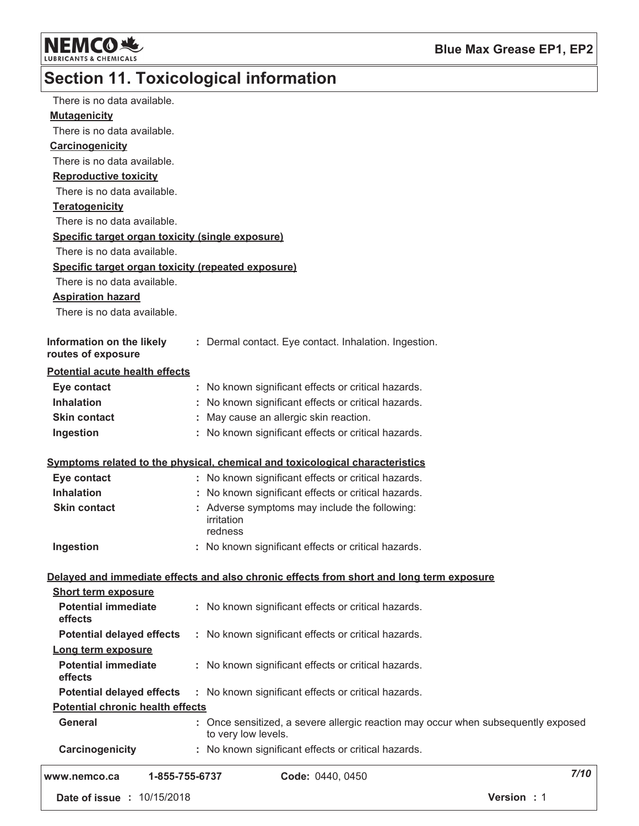

# Section 11. Toxicological information

| There is no data available.                        |                                                                                                                                     |             |
|----------------------------------------------------|-------------------------------------------------------------------------------------------------------------------------------------|-------------|
| <b>Mutagenicity</b>                                |                                                                                                                                     |             |
| There is no data available.                        |                                                                                                                                     |             |
| Carcinogenicity                                    |                                                                                                                                     |             |
| There is no data available.                        |                                                                                                                                     |             |
| <b>Reproductive toxicity</b>                       |                                                                                                                                     |             |
| There is no data available.                        |                                                                                                                                     |             |
| <b>Teratogenicity</b>                              |                                                                                                                                     |             |
| There is no data available.                        |                                                                                                                                     |             |
| Specific target organ toxicity (single exposure)   |                                                                                                                                     |             |
| There is no data available.                        |                                                                                                                                     |             |
| Specific target organ toxicity (repeated exposure) |                                                                                                                                     |             |
| There is no data available.                        |                                                                                                                                     |             |
| <b>Aspiration hazard</b>                           |                                                                                                                                     |             |
| There is no data available.                        |                                                                                                                                     |             |
|                                                    |                                                                                                                                     |             |
| Information on the likely<br>routes of exposure    | : Dermal contact. Eye contact. Inhalation. Ingestion.                                                                               |             |
| <b>Potential acute health effects</b>              |                                                                                                                                     |             |
| Eye contact                                        | : No known significant effects or critical hazards.                                                                                 |             |
| <b>Inhalation</b>                                  | : No known significant effects or critical hazards.                                                                                 |             |
| <b>Skin contact</b>                                | May cause an allergic skin reaction.                                                                                                |             |
| Ingestion                                          | : No known significant effects or critical hazards.                                                                                 |             |
| Eye contact                                        | Symptoms related to the physical, chemical and toxicological characteristics<br>: No known significant effects or critical hazards. |             |
| <b>Inhalation</b>                                  | : No known significant effects or critical hazards.                                                                                 |             |
| <b>Skin contact</b>                                | : Adverse symptoms may include the following:<br>irritation<br>redness                                                              |             |
| Ingestion                                          | : No known significant effects or critical hazards.                                                                                 |             |
|                                                    | Delayed and immediate effects and also chronic effects from short and long term exposure                                            |             |
| <b>Short term exposure</b>                         |                                                                                                                                     |             |
| <b>Potential immediate</b><br>effects              | : No known significant effects or critical hazards.                                                                                 |             |
| <b>Potential delayed effects</b>                   | : No known significant effects or critical hazards.                                                                                 |             |
| Long term exposure                                 |                                                                                                                                     |             |
| <b>Potential immediate</b><br>effects              | : No known significant effects or critical hazards.                                                                                 |             |
| <b>Potential delayed effects</b>                   | : No known significant effects or critical hazards.                                                                                 |             |
| <b>Potential chronic health effects</b>            |                                                                                                                                     |             |
| <b>General</b>                                     | : Once sensitized, a severe allergic reaction may occur when subsequently exposed<br>to very low levels.                            |             |
| Carcinogenicity                                    | : No known significant effects or critical hazards.                                                                                 |             |
| 1-855-755-6737<br>www.nemco.ca                     | Code: 0440, 0450                                                                                                                    | 7/10        |
| Date of issue : 10/15/2018                         |                                                                                                                                     | Version : 1 |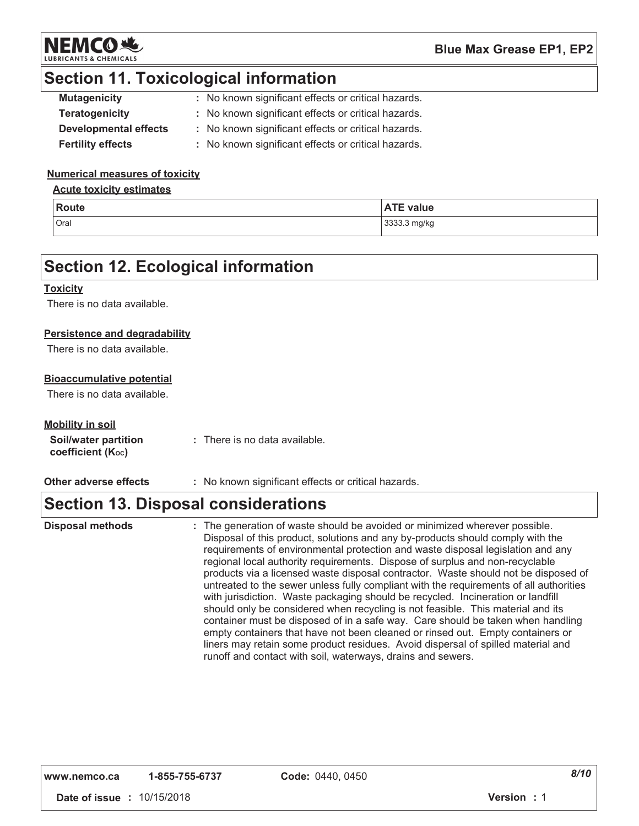

# **Section 11. Toxicological information**

| <b>Mutagenicity</b>          | : No known significant effects or critical hazards. |
|------------------------------|-----------------------------------------------------|
| <b>Teratogenicity</b>        | : No known significant effects or critical hazards. |
| <b>Developmental effects</b> | : No known significant effects or critical hazards. |
| <b>Fertility effects</b>     | : No known significant effects or critical hazards. |

### **Numerical measures of toxicity**

### **Acute toxicity estimates**

| <b>Route</b> | <b>ATE value</b> |
|--------------|------------------|
| Oral         | 3333.3 mg/kg     |

### **Section 12. Ecological information**

### **Toxicity**

There is no data available.

### Persistence and degradability

There is no data available.

### **Bioaccumulative potential**

There is no data available.

### **Mobility in soil**

| Soil/water partition          | : There is no data available. |
|-------------------------------|-------------------------------|
| coefficient $(K_{\text{oc}})$ |                               |

#### Other adverse effects : No known significant effects or critical hazards.

## **Section 13. Disposal considerations**

: The generation of waste should be avoided or minimized wherever possible. **Disposal methods** Disposal of this product, solutions and any by-products should comply with the requirements of environmental protection and waste disposal legislation and any regional local authority requirements. Dispose of surplus and non-recyclable products via a licensed waste disposal contractor. Waste should not be disposed of untreated to the sewer unless fully compliant with the requirements of all authorities with jurisdiction. Waste packaging should be recycled. Incineration or landfill should only be considered when recycling is not feasible. This material and its container must be disposed of in a safe way. Care should be taken when handling empty containers that have not been cleaned or rinsed out. Empty containers or liners may retain some product residues. Avoid dispersal of spilled material and runoff and contact with soil, waterways, drains and sewers.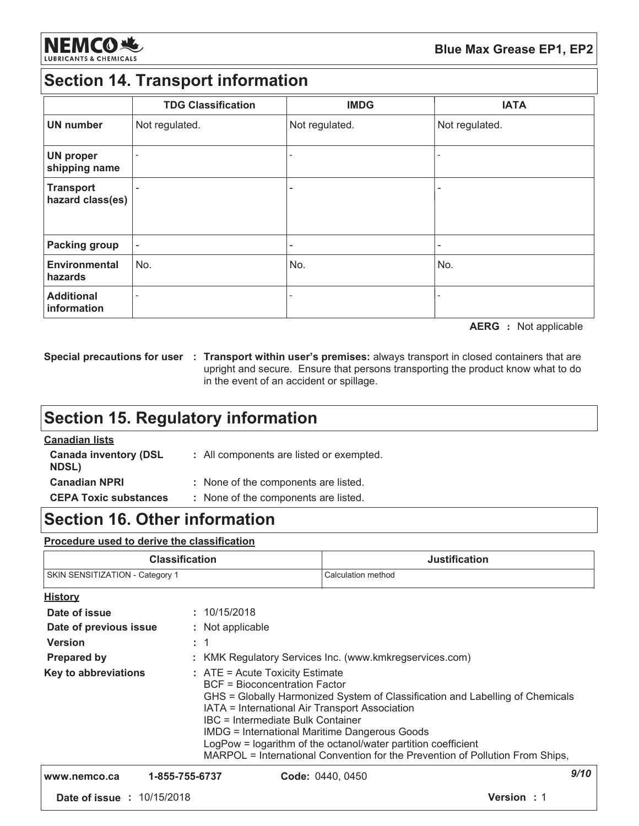

## **Section 14. Transport information**

|                                      | <b>TDG Classification</b> | <b>IMDG</b>              | <b>IATA</b>              |
|--------------------------------------|---------------------------|--------------------------|--------------------------|
| <b>UN number</b>                     | Not regulated.            | Not regulated.           | Not regulated.           |
| <b>UN proper</b><br>shipping name    |                           |                          |                          |
| <b>Transport</b><br>hazard class(es) |                           | $\overline{\phantom{0}}$ | $\overline{\phantom{a}}$ |
| <b>Packing group</b>                 |                           |                          |                          |
| <b>Environmental</b><br>hazards      | No.                       | No.                      | No.                      |
| <b>Additional</b><br>information     |                           |                          |                          |

**AERG** : Not applicable

Special precautions for user : Transport within user's premises: always transport in closed containers that are upright and secure. Ensure that persons transporting the product know what to do in the event of an accident or spillage.

# **Section 15. Regulatory information**

### **Canadian lists**

| <b>Canada inventory (DSL</b><br><b>NDSL)</b> | : All components are listed or exempted. |
|----------------------------------------------|------------------------------------------|
| <b>Canadian NPRI</b>                         | : None of the components are listed.     |
| <b>CEPA Toxic substances</b>                 | : None of the components are listed.     |

## **Section 16. Other information**

### Procedure used to derive the classification

| <b>Classification</b>           | Justification      |
|---------------------------------|--------------------|
| SKIN SENSITIZATION - Category 1 | Calculation method |

| <b>History</b>                                                                |                |                                                                                                                                                                                                                                                                                                                                                                                                                                                             |             |  |
|-------------------------------------------------------------------------------|----------------|-------------------------------------------------------------------------------------------------------------------------------------------------------------------------------------------------------------------------------------------------------------------------------------------------------------------------------------------------------------------------------------------------------------------------------------------------------------|-------------|--|
| Date of issue                                                                 | : 10/15/2018   |                                                                                                                                                                                                                                                                                                                                                                                                                                                             |             |  |
| Date of previous issue                                                        |                | : Not applicable                                                                                                                                                                                                                                                                                                                                                                                                                                            |             |  |
| <b>Version</b>                                                                | $\therefore$ 1 |                                                                                                                                                                                                                                                                                                                                                                                                                                                             |             |  |
| : KMK Regulatory Services Inc. (www.kmkregservices.com)<br><b>Prepared by</b> |                |                                                                                                                                                                                                                                                                                                                                                                                                                                                             |             |  |
| Key to abbreviations                                                          |                | $:$ ATE = Acute Toxicity Estimate<br><b>BCF</b> = Bioconcentration Factor<br>GHS = Globally Harmonized System of Classification and Labelling of Chemicals<br>IATA = International Air Transport Association<br>IBC = Intermediate Bulk Container<br><b>IMDG = International Maritime Dangerous Goods</b><br>LogPow = logarithm of the octanol/water partition coefficient<br>MARPOL = International Convention for the Prevention of Pollution From Ships, |             |  |
| www.nemco.ca                                                                  | 1-855-755-6737 | Code: 0440, 0450                                                                                                                                                                                                                                                                                                                                                                                                                                            | 9/10        |  |
| <b>Date of issue : 10/15/2018</b>                                             |                |                                                                                                                                                                                                                                                                                                                                                                                                                                                             | Version : 1 |  |